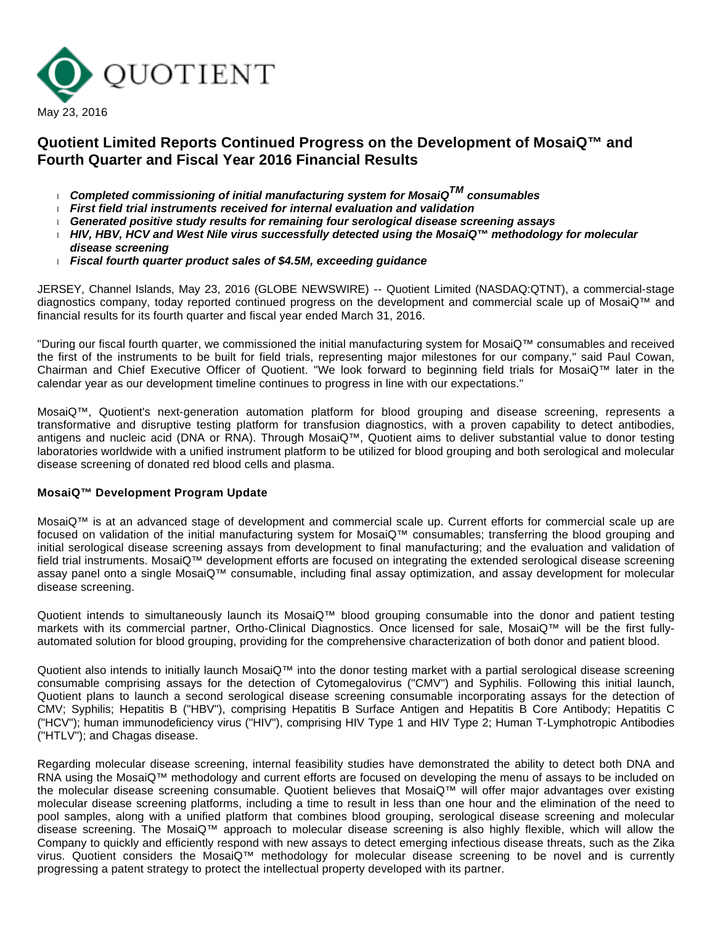

# **Quotient Limited Reports Continued Progress on the Development of MosaiQ™ and Fourth Quarter and Fiscal Year 2016 Financial Results**

- **Completed commissioning of initial manufacturing system for MosaiQTM consumables**
- **First field trial instruments received for internal evaluation and validation**
- **Generated positive study results for remaining four serological disease screening assays**
- **HIV, HBV, HCV and West Nile virus successfully detected using the MosaiQ™ methodology for molecular disease screening**
- **Fiscal fourth quarter product sales of \$4.5M, exceeding guidance**

JERSEY, Channel Islands, May 23, 2016 (GLOBE NEWSWIRE) -- Quotient Limited (NASDAQ:QTNT), a commercial-stage diagnostics company, today reported continued progress on the development and commercial scale up of MosaiQ™ and financial results for its fourth quarter and fiscal year ended March 31, 2016.

"During our fiscal fourth quarter, we commissioned the initial manufacturing system for MosaiQ™ consumables and received the first of the instruments to be built for field trials, representing major milestones for our company," said Paul Cowan, Chairman and Chief Executive Officer of Quotient. "We look forward to beginning field trials for MosaiQ™ later in the calendar year as our development timeline continues to progress in line with our expectations."

MosaiQ™, Quotient's next-generation automation platform for blood grouping and disease screening, represents a transformative and disruptive testing platform for transfusion diagnostics, with a proven capability to detect antibodies, antigens and nucleic acid (DNA or RNA). Through MosaiQ™, Quotient aims to deliver substantial value to donor testing laboratories worldwide with a unified instrument platform to be utilized for blood grouping and both serological and molecular disease screening of donated red blood cells and plasma.

#### **MosaiQ™ Development Program Update**

MosaiQ™ is at an advanced stage of development and commercial scale up. Current efforts for commercial scale up are focused on validation of the initial manufacturing system for MosaiQ™ consumables; transferring the blood grouping and initial serological disease screening assays from development to final manufacturing; and the evaluation and validation of field trial instruments. MosaiQ™ development efforts are focused on integrating the extended serological disease screening assay panel onto a single MosaiQ™ consumable, including final assay optimization, and assay development for molecular disease screening.

Quotient intends to simultaneously launch its MosaiQ™ blood grouping consumable into the donor and patient testing markets with its commercial partner, Ortho-Clinical Diagnostics. Once licensed for sale, MosaiQ™ will be the first fullyautomated solution for blood grouping, providing for the comprehensive characterization of both donor and patient blood.

Quotient also intends to initially launch MosaiQ™ into the donor testing market with a partial serological disease screening consumable comprising assays for the detection of Cytomegalovirus ("CMV") and Syphilis. Following this initial launch, Quotient plans to launch a second serological disease screening consumable incorporating assays for the detection of CMV; Syphilis; Hepatitis B ("HBV"), comprising Hepatitis B Surface Antigen and Hepatitis B Core Antibody; Hepatitis C ("HCV"); human immunodeficiency virus ("HIV"), comprising HIV Type 1 and HIV Type 2; Human T-Lymphotropic Antibodies ("HTLV"); and Chagas disease.

Regarding molecular disease screening, internal feasibility studies have demonstrated the ability to detect both DNA and RNA using the MosaiQ™ methodology and current efforts are focused on developing the menu of assays to be included on the molecular disease screening consumable. Quotient believes that MosaiQ™ will offer major advantages over existing molecular disease screening platforms, including a time to result in less than one hour and the elimination of the need to pool samples, along with a unified platform that combines blood grouping, serological disease screening and molecular disease screening. The MosaiQ™ approach to molecular disease screening is also highly flexible, which will allow the Company to quickly and efficiently respond with new assays to detect emerging infectious disease threats, such as the Zika virus. Quotient considers the MosaiQ™ methodology for molecular disease screening to be novel and is currently progressing a patent strategy to protect the intellectual property developed with its partner.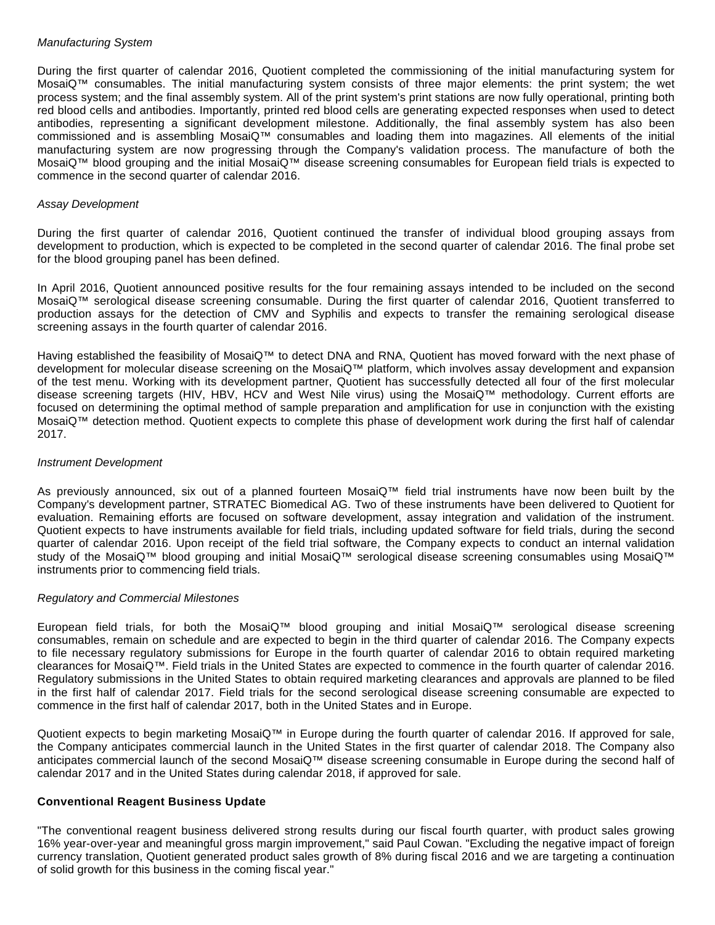## Manufacturing System

During the first quarter of calendar 2016, Quotient completed the commissioning of the initial manufacturing system for MosaiQ™ consumables. The initial manufacturing system consists of three major elements: the print system; the wet process system; and the final assembly system. All of the print system's print stations are now fully operational, printing both red blood cells and antibodies. Importantly, printed red blood cells are generating expected responses when used to detect antibodies, representing a significant development milestone. Additionally, the final assembly system has also been commissioned and is assembling MosaiQ™ consumables and loading them into magazines. All elements of the initial manufacturing system are now progressing through the Company's validation process. The manufacture of both the MosaiQ™ blood grouping and the initial MosaiQ™ disease screening consumables for European field trials is expected to commence in the second quarter of calendar 2016.

## Assay Development

During the first quarter of calendar 2016, Quotient continued the transfer of individual blood grouping assays from development to production, which is expected to be completed in the second quarter of calendar 2016. The final probe set for the blood grouping panel has been defined.

In April 2016, Quotient announced positive results for the four remaining assays intended to be included on the second MosaiQ™ serological disease screening consumable. During the first quarter of calendar 2016, Quotient transferred to production assays for the detection of CMV and Syphilis and expects to transfer the remaining serological disease screening assays in the fourth quarter of calendar 2016.

Having established the feasibility of MosaiQ™ to detect DNA and RNA. Quotient has moved forward with the next phase of development for molecular disease screening on the MosaiQ™ platform, which involves assay development and expansion of the test menu. Working with its development partner, Quotient has successfully detected all four of the first molecular disease screening targets (HIV, HBV, HCV and West Nile virus) using the MosaiQ™ methodology. Current efforts are focused on determining the optimal method of sample preparation and amplification for use in conjunction with the existing MosaiQ™ detection method. Quotient expects to complete this phase of development work during the first half of calendar 2017.

#### Instrument Development

As previously announced, six out of a planned fourteen MosaiQ™ field trial instruments have now been built by the Company's development partner, STRATEC Biomedical AG. Two of these instruments have been delivered to Quotient for evaluation. Remaining efforts are focused on software development, assay integration and validation of the instrument. Quotient expects to have instruments available for field trials, including updated software for field trials, during the second quarter of calendar 2016. Upon receipt of the field trial software, the Company expects to conduct an internal validation study of the MosaiQ™ blood grouping and initial MosaiQ™ serological disease screening consumables using MosaiQ™ instruments prior to commencing field trials.

#### Regulatory and Commercial Milestones

European field trials, for both the MosaiQ™ blood grouping and initial MosaiQ™ serological disease screening consumables, remain on schedule and are expected to begin in the third quarter of calendar 2016. The Company expects to file necessary regulatory submissions for Europe in the fourth quarter of calendar 2016 to obtain required marketing clearances for MosaiQ™. Field trials in the United States are expected to commence in the fourth quarter of calendar 2016. Regulatory submissions in the United States to obtain required marketing clearances and approvals are planned to be filed in the first half of calendar 2017. Field trials for the second serological disease screening consumable are expected to commence in the first half of calendar 2017, both in the United States and in Europe.

Quotient expects to begin marketing MosaiQ™ in Europe during the fourth quarter of calendar 2016. If approved for sale, the Company anticipates commercial launch in the United States in the first quarter of calendar 2018. The Company also anticipates commercial launch of the second MosaiQ™ disease screening consumable in Europe during the second half of calendar 2017 and in the United States during calendar 2018, if approved for sale.

#### **Conventional Reagent Business Update**

"The conventional reagent business delivered strong results during our fiscal fourth quarter, with product sales growing 16% year-over-year and meaningful gross margin improvement," said Paul Cowan. "Excluding the negative impact of foreign currency translation, Quotient generated product sales growth of 8% during fiscal 2016 and we are targeting a continuation of solid growth for this business in the coming fiscal year."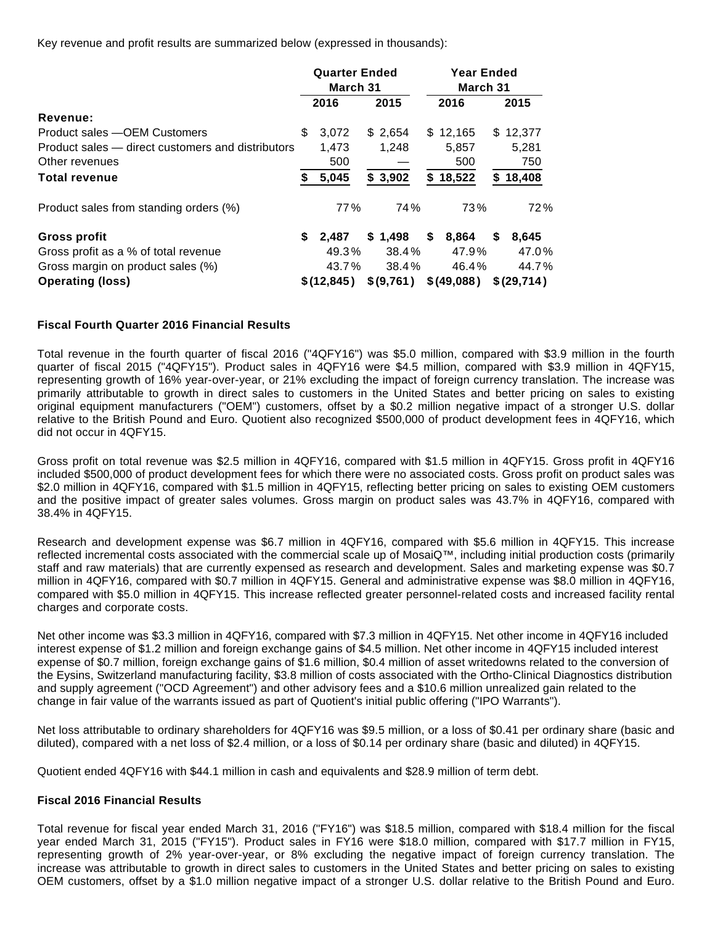Key revenue and profit results are summarized below (expressed in thousands):

|                                                   |    | <b>Quarter Ended</b><br>March 31 |  |            |       | <b>Year Ended</b><br>March 31 |      |            |  |  |
|---------------------------------------------------|----|----------------------------------|--|------------|-------|-------------------------------|------|------------|--|--|
|                                                   |    | 2016<br>2015                     |  | 2016       |       |                               | 2015 |            |  |  |
| Revenue:                                          |    |                                  |  |            |       |                               |      |            |  |  |
| Product sales - OEM Customers                     | \$ | 3,072                            |  | \$ 2,654   |       | \$12,165                      |      | \$12,377   |  |  |
| Product sales – direct customers and distributors |    | 1,473                            |  | 1,248      | 5,857 |                               |      | 5,281      |  |  |
| Other revenues                                    |    | 500                              |  |            | 500   |                               |      | 750        |  |  |
| <b>Total revenue</b>                              | S  | 5,045                            |  | \$3,902    |       | \$18,522                      | S.   | 18,408     |  |  |
| Product sales from standing orders (%)            |    | 77%                              |  | 74%        |       | 73%                           |      | 72%        |  |  |
| Gross profit                                      | \$ | 2,487                            |  | \$1,498    | \$    | 8,864                         | \$   | 8,645      |  |  |
| Gross profit as a % of total revenue              |    | 49.3%                            |  | 38.4%      |       | 47.9%                         |      | 47.0%      |  |  |
| Gross margin on product sales (%)                 |    | 43.7%                            |  | 38.4%      |       | 46.4%                         |      | 44.7%      |  |  |
| <b>Operating (loss)</b>                           |    | \$(12, 845)                      |  | \$ (9,761) |       | \$ (49,088)                   |      | \$(29,714) |  |  |

#### **Fiscal Fourth Quarter 2016 Financial Results**

Total revenue in the fourth quarter of fiscal 2016 ("4QFY16") was \$5.0 million, compared with \$3.9 million in the fourth quarter of fiscal 2015 ("4QFY15"). Product sales in 4QFY16 were \$4.5 million, compared with \$3.9 million in 4QFY15, representing growth of 16% year-over-year, or 21% excluding the impact of foreign currency translation. The increase was primarily attributable to growth in direct sales to customers in the United States and better pricing on sales to existing original equipment manufacturers ("OEM") customers, offset by a \$0.2 million negative impact of a stronger U.S. dollar relative to the British Pound and Euro. Quotient also recognized \$500,000 of product development fees in 4QFY16, which did not occur in 4QFY15.

Gross profit on total revenue was \$2.5 million in 4QFY16, compared with \$1.5 million in 4QFY15. Gross profit in 4QFY16 included \$500,000 of product development fees for which there were no associated costs. Gross profit on product sales was \$2.0 million in 4QFY16, compared with \$1.5 million in 4QFY15, reflecting better pricing on sales to existing OEM customers and the positive impact of greater sales volumes. Gross margin on product sales was 43.7% in 4QFY16, compared with 38.4% in 4QFY15.

Research and development expense was \$6.7 million in 4QFY16, compared with \$5.6 million in 4QFY15. This increase reflected incremental costs associated with the commercial scale up of MosaiQ™, including initial production costs (primarily staff and raw materials) that are currently expensed as research and development. Sales and marketing expense was \$0.7 million in 4QFY16, compared with \$0.7 million in 4QFY15. General and administrative expense was \$8.0 million in 4QFY16, compared with \$5.0 million in 4QFY15. This increase reflected greater personnel-related costs and increased facility rental charges and corporate costs.

Net other income was \$3.3 million in 4QFY16, compared with \$7.3 million in 4QFY15. Net other income in 4QFY16 included interest expense of \$1.2 million and foreign exchange gains of \$4.5 million. Net other income in 4QFY15 included interest expense of \$0.7 million, foreign exchange gains of \$1.6 million, \$0.4 million of asset writedowns related to the conversion of the Eysins, Switzerland manufacturing facility, \$3.8 million of costs associated with the Ortho-Clinical Diagnostics distribution and supply agreement ("OCD Agreement") and other advisory fees and a \$10.6 million unrealized gain related to the change in fair value of the warrants issued as part of Quotient's initial public offering ("IPO Warrants").

Net loss attributable to ordinary shareholders for 4QFY16 was \$9.5 million, or a loss of \$0.41 per ordinary share (basic and diluted), compared with a net loss of \$2.4 million, or a loss of \$0.14 per ordinary share (basic and diluted) in 4QFY15.

Quotient ended 4QFY16 with \$44.1 million in cash and equivalents and \$28.9 million of term debt.

#### **Fiscal 2016 Financial Results**

Total revenue for fiscal year ended March 31, 2016 ("FY16") was \$18.5 million, compared with \$18.4 million for the fiscal year ended March 31, 2015 ("FY15"). Product sales in FY16 were \$18.0 million, compared with \$17.7 million in FY15, representing growth of 2% year-over-year, or 8% excluding the negative impact of foreign currency translation. The increase was attributable to growth in direct sales to customers in the United States and better pricing on sales to existing OEM customers, offset by a \$1.0 million negative impact of a stronger U.S. dollar relative to the British Pound and Euro.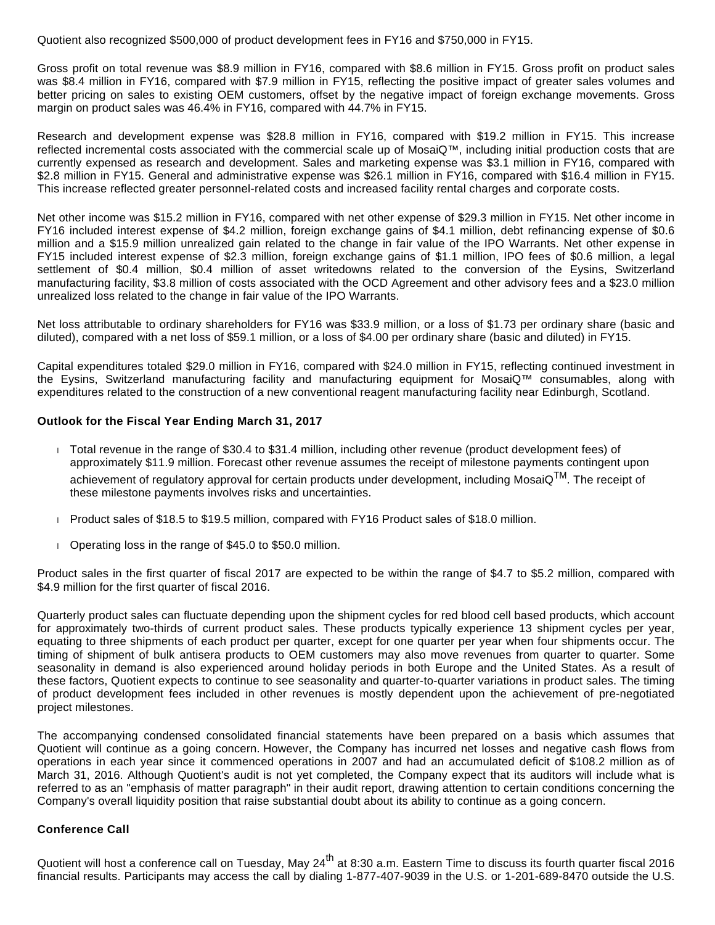Quotient also recognized \$500,000 of product development fees in FY16 and \$750,000 in FY15.

Gross profit on total revenue was \$8.9 million in FY16, compared with \$8.6 million in FY15. Gross profit on product sales was \$8.4 million in FY16, compared with \$7.9 million in FY15, reflecting the positive impact of greater sales volumes and better pricing on sales to existing OEM customers, offset by the negative impact of foreign exchange movements. Gross margin on product sales was 46.4% in FY16, compared with 44.7% in FY15.

Research and development expense was \$28.8 million in FY16, compared with \$19.2 million in FY15. This increase reflected incremental costs associated with the commercial scale up of MosaiQ™, including initial production costs that are currently expensed as research and development. Sales and marketing expense was \$3.1 million in FY16, compared with \$2.8 million in FY15. General and administrative expense was \$26.1 million in FY16, compared with \$16.4 million in FY15. This increase reflected greater personnel-related costs and increased facility rental charges and corporate costs.

Net other income was \$15.2 million in FY16, compared with net other expense of \$29.3 million in FY15. Net other income in FY16 included interest expense of \$4.2 million, foreign exchange gains of \$4.1 million, debt refinancing expense of \$0.6 million and a \$15.9 million unrealized gain related to the change in fair value of the IPO Warrants. Net other expense in FY15 included interest expense of \$2.3 million, foreign exchange gains of \$1.1 million, IPO fees of \$0.6 million, a legal settlement of \$0.4 million, \$0.4 million of asset writedowns related to the conversion of the Eysins, Switzerland manufacturing facility, \$3.8 million of costs associated with the OCD Agreement and other advisory fees and a \$23.0 million unrealized loss related to the change in fair value of the IPO Warrants.

Net loss attributable to ordinary shareholders for FY16 was \$33.9 million, or a loss of \$1.73 per ordinary share (basic and diluted), compared with a net loss of \$59.1 million, or a loss of \$4.00 per ordinary share (basic and diluted) in FY15.

Capital expenditures totaled \$29.0 million in FY16, compared with \$24.0 million in FY15, reflecting continued investment in the Eysins, Switzerland manufacturing facility and manufacturing equipment for MosaiQ™ consumables, along with expenditures related to the construction of a new conventional reagent manufacturing facility near Edinburgh, Scotland.

#### **Outlook for the Fiscal Year Ending March 31, 2017**

- Total revenue in the range of \$30.4 to \$31.4 million, including other revenue (product development fees) of approximately \$11.9 million. Forecast other revenue assumes the receipt of milestone payments contingent upon achievement of regulatory approval for certain products under development, including MosaiQ<sup>TM</sup>. The receint of these milestone payments involves risks and uncertainties.
- Product sales of \$18.5 to \$19.5 million, compared with FY16 Product sales of \$18.0 million.
- Derating loss in the range of \$45.0 to \$50.0 million.

Product sales in the first quarter of fiscal 2017 are expected to be within the range of \$4.7 to \$5.2 million, compared with \$4.9 million for the first quarter of fiscal 2016.

Quarterly product sales can fluctuate depending upon the shipment cycles for red blood cell based products, which account for approximately two-thirds of current product sales. These products typically experience 13 shipment cycles per year, equating to three shipments of each product per quarter, except for one quarter per year when four shipments occur. The timing of shipment of bulk antisera products to OEM customers may also move revenues from quarter to quarter. Some seasonality in demand is also experienced around holiday periods in both Europe and the United States. As a result of these factors, Quotient expects to continue to see seasonality and quarter-to-quarter variations in product sales. The timing of product development fees included in other revenues is mostly dependent upon the achievement of pre-negotiated project milestones.

The accompanying condensed consolidated financial statements have been prepared on a basis which assumes that Quotient will continue as a going concern. However, the Company has incurred net losses and negative cash flows from operations in each year since it commenced operations in 2007 and had an accumulated deficit of \$108.2 million as of March 31, 2016. Although Quotient's audit is not yet completed, the Company expect that its auditors will include what is referred to as an "emphasis of matter paragraph" in their audit report, drawing attention to certain conditions concerning the Company's overall liquidity position that raise substantial doubt about its ability to continue as a going concern.

#### **Conference Call**

Quotient will host a conference call on Tuesday, May 24<sup>th</sup> at 8:30 a.m. Eastern Time to discuss its fourth quarter fiscal 2016 financial results. Participants may access the call by dialing 1-877-407-9039 in the U.S. or 1-201-689-8470 outside the U.S.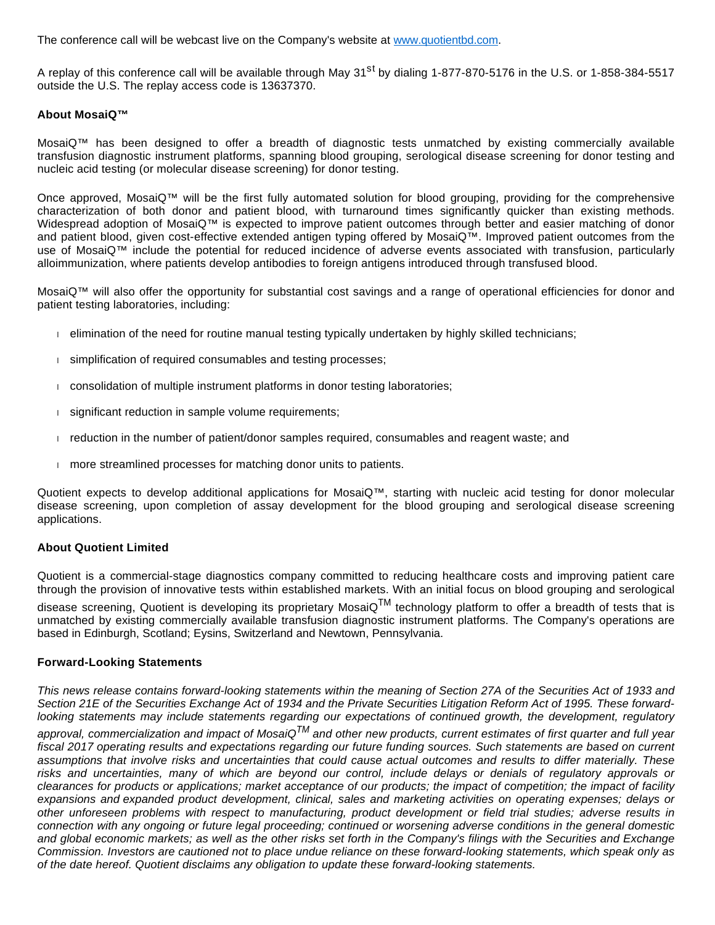The conference call will be webcast live on the Company's website at [www.quotientbd.com.](http://www.globenewswire.com/Tracker?data=utNsE3QMY7TAqW7BzzIW_jRgamJ46IRG2z7hJ6IInUE1-q91d4tezG6fhSyF2rBfSFL_j55GX0zSxNd9p0ICufsnRoBKusRxpUCbcyAaecs=)

A replay of this conference call will be available through May 31<sup>st</sup> by dialing 1-877-870-5176 in the U.S. or 1-858-384-5517 outside the U.S. The replay access code is 13637370.

#### **About MosaiQ™**

MosaiQ™ has been designed to offer a breadth of diagnostic tests unmatched by existing commercially available transfusion diagnostic instrument platforms, spanning blood grouping, serological disease screening for donor testing and nucleic acid testing (or molecular disease screening) for donor testing.

Once approved, MosaiQ™ will be the first fully automated solution for blood grouping, providing for the comprehensive characterization of both donor and patient blood, with turnaround times significantly quicker than existing methods. Widespread adoption of MosaiQ™ is expected to improve patient outcomes through better and easier matching of donor and patient blood, given cost-effective extended antigen typing offered by MosaiQ™. Improved patient outcomes from the use of MosaiQ™ include the potential for reduced incidence of adverse events associated with transfusion, particularly alloimmunization, where patients develop antibodies to foreign antigens introduced through transfused blood.

MosaiQ™ will also offer the opportunity for substantial cost savings and a range of operational efficiencies for donor and patient testing laboratories, including:

- elimination of the need for routine manual testing typically undertaken by highly skilled technicians;
- simplification of required consumables and testing processes;
- consolidation of multiple instrument platforms in donor testing laboratories;
- significant reduction in sample volume requirements;
- reduction in the number of patient/donor samples required, consumables and reagent waste; and
- more streamlined processes for matching donor units to patients.

Quotient expects to develop additional applications for MosaiQ™, starting with nucleic acid testing for donor molecular disease screening, upon completion of assay development for the blood grouping and serological disease screening applications.

#### **About Quotient Limited**

Quotient is a commercial-stage diagnostics company committed to reducing healthcare costs and improving patient care through the provision of innovative tests within established markets. With an initial focus on blood grouping and serological

disease screening, Quotient is developing its proprietary MosaiQ<sup>TM</sup> technology platform to offer a breadth of tests that is unmatched by existing commercially available transfusion diagnostic instrument platforms. The Company's operations are based in Edinburgh, Scotland; Eysins, Switzerland and Newtown, Pennsylvania.

#### **Forward-Looking Statements**

This news release contains forward-looking statements within the meaning of Section 27A of the Securities Act of 1933 and Section 21E of the Securities Exchange Act of 1934 and the Private Securities Litigation Reform Act of 1995. These forwardlooking statements may include statements regarding our expectations of continued growth, the development, regulatory

approval, commercialization and impact of MosaiQ $^{TM}$  and other new products, current estimates of first quarter and full year fiscal 2017 operating results and expectations regarding our future funding sources. Such statements are based on current assumptions that involve risks and uncertainties that could cause actual outcomes and results to differ materially. These risks and uncertainties, many of which are beyond our control, include delays or denials of regulatory approvals or clearances for products or applications; market acceptance of our products; the impact of competition; the impact of facility expansions and expanded product development, clinical, sales and marketing activities on operating expenses; delays or other unforeseen problems with respect to manufacturing, product development or field trial studies; adverse results in connection with any ongoing or future legal proceeding; continued or worsening adverse conditions in the general domestic and global economic markets; as well as the other risks set forth in the Company's filings with the Securities and Exchange Commission. Investors are cautioned not to place undue reliance on these forward-looking statements, which speak only as of the date hereof. Quotient disclaims any obligation to update these forward-looking statements.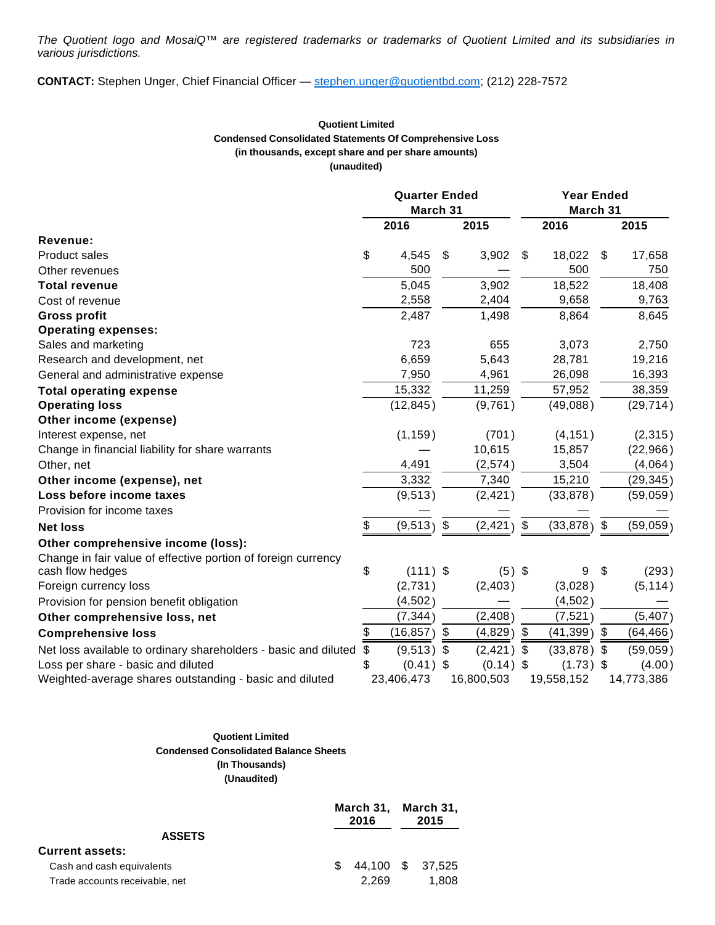The Quotient logo and MosaiQ™ are registered trademarks or trademarks of Quotient Limited and its subsidiaries in various jurisdictions.

**CONTACT:** Stephen Unger, Chief Financial Officer — [stephen.unger@quotientbd.com](http://www.globenewswire.com/Tracker?data=Zie4jCAJRhKa6vNx3fVqSnL-tTLE9lVvMlv_nLUK0W1eHWCJcPnnVMIbb-IYjhlLKTUMWOZrRWviVQ_zrxB-q1EuQVX3_A99MH9y0px1E6hPeBcrCVX9lh6f_BCzaGrb); (212) 228-7572

#### **Quotient Limited Condensed Consolidated Statements Of Comprehensive Loss (in thousands, except share and per share amounts) (unaudited)**

|                                                                 | <b>Quarter Ended</b><br>March 31 |                            |             | <b>Year Ended</b><br>March 31 |               |    |            |
|-----------------------------------------------------------------|----------------------------------|----------------------------|-------------|-------------------------------|---------------|----|------------|
|                                                                 | 2016                             |                            | 2015        |                               | 2016          |    | 2015       |
| Revenue:                                                        |                                  |                            |             |                               |               |    |            |
| Product sales                                                   | \$<br>4,545                      | \$                         | 3,902       | \$                            | 18,022        | \$ | 17,658     |
| Other revenues                                                  | 500                              |                            |             |                               | 500           |    | 750        |
| <b>Total revenue</b>                                            | 5,045                            |                            | 3,902       |                               | 18,522        |    | 18,408     |
| Cost of revenue                                                 | 2,558                            |                            | 2,404       |                               | 9,658         |    | 9,763      |
| <b>Gross profit</b>                                             | 2,487                            |                            | 1,498       |                               | 8,864         |    | 8,645      |
| <b>Operating expenses:</b>                                      |                                  |                            |             |                               |               |    |            |
| Sales and marketing                                             | 723                              |                            | 655         |                               | 3,073         |    | 2,750      |
| Research and development, net                                   | 6,659                            |                            | 5,643       |                               | 28,781        |    | 19,216     |
| General and administrative expense                              | 7,950                            |                            | 4,961       |                               | 26,098        |    | 16,393     |
| <b>Total operating expense</b>                                  | 15,332                           |                            | 11,259      |                               | 57,952        |    | 38,359     |
| <b>Operating loss</b>                                           | (12, 845)                        |                            | (9,761)     |                               | (49,088)      |    | (29, 714)  |
| Other income (expense)                                          |                                  |                            |             |                               |               |    |            |
| Interest expense, net                                           | (1, 159)                         |                            | (701)       |                               | (4, 151)      |    | (2, 315)   |
| Change in financial liability for share warrants                |                                  |                            | 10,615      |                               | 15,857        |    | (22,966)   |
| Other, net                                                      | 4,491                            |                            | (2,574)     |                               | 3,504         |    | (4,064)    |
| Other income (expense), net                                     | 3,332                            |                            | 7,340       |                               | 15,210        |    | (29, 345)  |
| Loss before income taxes                                        | (9, 513)                         |                            | (2, 421)    |                               | (33, 878)     |    | (59,059)   |
| Provision for income taxes                                      |                                  |                            |             |                               |               |    |            |
| <b>Net loss</b>                                                 | \$<br>(9, 513)                   | $\boldsymbol{\mathsf{\$}}$ | (2, 421)    | $\sqrt[6]{2}$                 | $(33,878)$ \$ |    | (59,059)   |
| Other comprehensive income (loss):                              |                                  |                            |             |                               |               |    |            |
| Change in fair value of effective portion of foreign currency   |                                  |                            |             |                               |               |    |            |
| cash flow hedges                                                | \$<br>$(111)$ \$                 |                            | $(5)$ \$    |                               | 9             | \$ | (293)      |
| Foreign currency loss                                           | (2,731)                          |                            | (2,403)     |                               | (3,028)       |    | (5, 114)   |
| Provision for pension benefit obligation                        | (4,502)                          |                            |             |                               | (4,502)       |    |            |
| Other comprehensive loss, net                                   | (7, 344)                         |                            | (2, 408)    |                               | (7, 521)      |    | (5, 407)   |
| <b>Comprehensive loss</b>                                       | \$<br>(16, 857)                  | \$                         | (4,829)     | \$                            | (41, 399)     | \$ | (64, 466)  |
| Net loss available to ordinary shareholders - basic and diluted | \$<br>(9, 513)                   | \$                         | (2, 421)    | \$                            | $(33,878)$ \$ |    | (59,059)   |
| Loss per share - basic and diluted                              | \$<br>(0.41)                     | \$                         | $(0.14)$ \$ |                               | $(1.73)$ \$   |    | (4.00)     |
| Weighted-average shares outstanding - basic and diluted         | 23,406,473                       |                            | 16,800,503  |                               | 19,558,152    |    | 14,773,386 |

## **Quotient Limited Condensed Consolidated Balance Sheets (In Thousands) (Unaudited)**

|                                |    | March 31, March 31,<br>2016 |  | 2015             |
|--------------------------------|----|-----------------------------|--|------------------|
| <b>ASSETS</b>                  |    |                             |  |                  |
| Current assets:                |    |                             |  |                  |
| Cash and cash equivalents      | Æ. |                             |  | 44,100 \$ 37,525 |
| Trade accounts receivable, net |    | 2.269                       |  | 1.808            |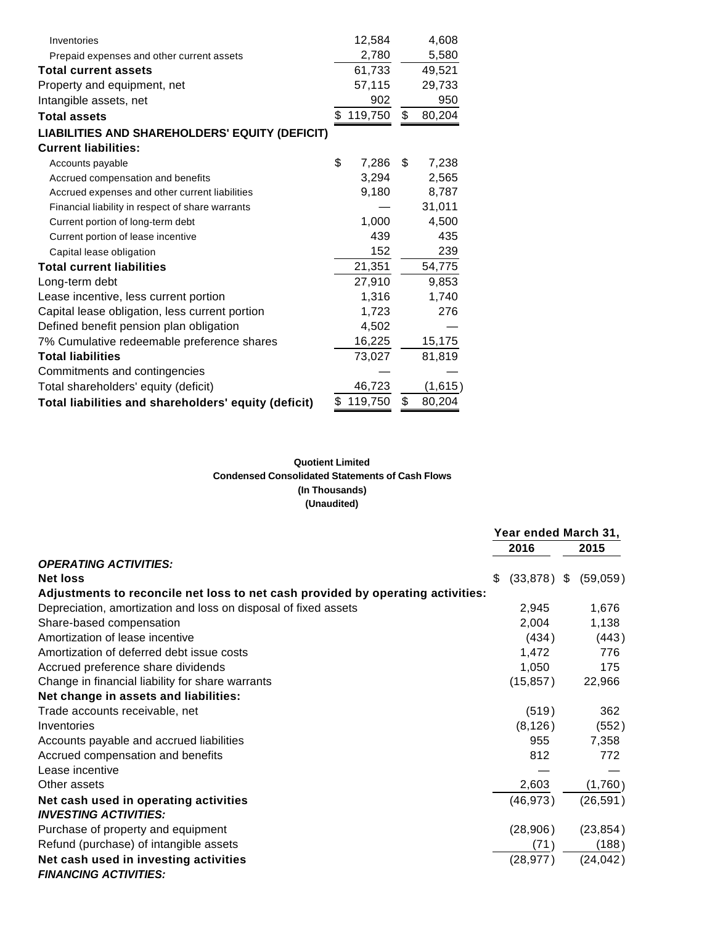| Inventories                                           | 12,584        | 4,608        |
|-------------------------------------------------------|---------------|--------------|
| Prepaid expenses and other current assets             | 2,780         | 5,580        |
| <b>Total current assets</b>                           | 61,733        | 49,521       |
| Property and equipment, net                           | 57,115        | 29,733       |
| Intangible assets, net                                | 902           | 950          |
| <b>Total assets</b>                                   | \$<br>119,750 | \$<br>80,204 |
| <b>LIABILITIES AND SHAREHOLDERS' EQUITY (DEFICIT)</b> |               |              |
| <b>Current liabilities:</b>                           |               |              |
| Accounts payable                                      | \$<br>7,286   | \$<br>7,238  |
| Accrued compensation and benefits                     | 3,294         | 2,565        |
| Accrued expenses and other current liabilities        | 9,180         | 8,787        |
| Financial liability in respect of share warrants      |               | 31,011       |
| Current portion of long-term debt                     | 1,000         | 4,500        |
| Current portion of lease incentive                    | 439           | 435          |
| Capital lease obligation                              | 152           | 239          |
| <b>Total current liabilities</b>                      | 21,351        | 54,775       |
| Long-term debt                                        | 27,910        | 9,853        |
| Lease incentive, less current portion                 | 1,316         | 1,740        |
| Capital lease obligation, less current portion        | 1,723         | 276          |
| Defined benefit pension plan obligation               | 4,502         |              |
| 7% Cumulative redeemable preference shares            | 16,225        | 15,175       |
| <b>Total liabilities</b>                              | 73,027        | 81,819       |
| Commitments and contingencies                         |               |              |
| Total shareholders' equity (deficit)                  | 46,723        | (1,615)      |
| Total liabilities and shareholders' equity (deficit)  | \$<br>119,750 | \$<br>80,204 |

# **Quotient Limited Condensed Consolidated Statements of Cash Flows (In Thousands) (Unaudited)**

|                                                                                 | Year ended March 31, |           |    |           |
|---------------------------------------------------------------------------------|----------------------|-----------|----|-----------|
|                                                                                 |                      | 2016      |    | 2015      |
| <b>OPERATING ACTIVITIES:</b>                                                    |                      |           |    |           |
| <b>Net loss</b>                                                                 | \$                   | (33, 878) | -S | (59,059)  |
| Adjustments to reconcile net loss to net cash provided by operating activities: |                      |           |    |           |
| Depreciation, amortization and loss on disposal of fixed assets                 |                      | 2,945     |    | 1,676     |
| Share-based compensation                                                        |                      | 2,004     |    | 1,138     |
| Amortization of lease incentive                                                 |                      | (434)     |    | (443)     |
| Amortization of deferred debt issue costs                                       |                      | 1,472     |    | 776       |
| Accrued preference share dividends                                              |                      | 1,050     |    | 175       |
| Change in financial liability for share warrants                                |                      | (15, 857) |    | 22,966    |
| Net change in assets and liabilities:                                           |                      |           |    |           |
| Trade accounts receivable, net                                                  |                      | (519)     |    | 362       |
| Inventories                                                                     |                      | (8, 126)  |    | (552)     |
| Accounts payable and accrued liabilities                                        |                      | 955       |    | 7,358     |
| Accrued compensation and benefits                                               |                      | 812       |    | 772       |
| Lease incentive                                                                 |                      |           |    |           |
| Other assets                                                                    |                      | 2,603     |    | (1,760)   |
| Net cash used in operating activities                                           |                      | (46, 973) |    | (26, 591) |
| <b>INVESTING ACTIVITIES:</b>                                                    |                      |           |    |           |
| Purchase of property and equipment                                              |                      | (28, 906) |    | (23, 854) |
| Refund (purchase) of intangible assets                                          |                      | (71)      |    | (188)     |
| Net cash used in investing activities                                           |                      | (28, 977) |    | (24, 042) |
| <b>FINANCING ACTIVITIES:</b>                                                    |                      |           |    |           |